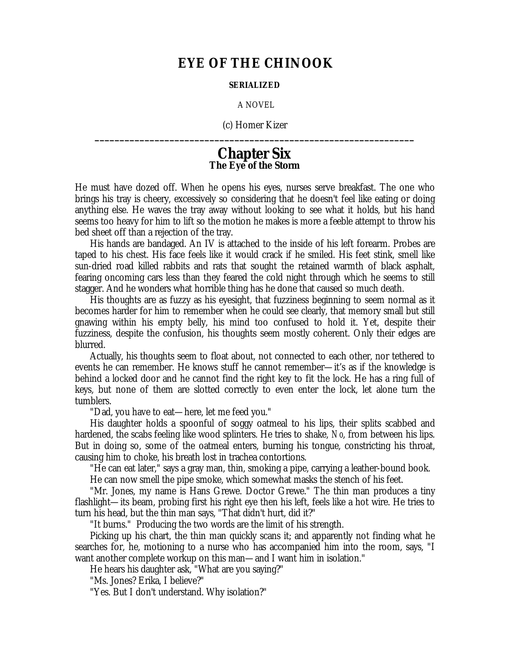## **EYE OF THE CHINOOK**

## **SERIALIZED**

A NOVEL

(c) Homer Kizer **\_\_\_\_\_\_\_\_\_\_\_\_\_\_\_\_\_\_\_\_\_\_\_\_\_\_\_\_\_\_\_\_\_\_\_\_\_\_\_\_\_\_\_\_\_\_\_\_\_\_\_\_\_\_\_\_\_\_\_\_\_\_\_\_**

## **Chapter Six The Eye of the Storm**

He must have dozed off. When he opens his eyes, nurses serve breakfast. The one who brings his tray is cheery, excessively so considering that he doesn't feel like eating or doing anything else. He waves the tray away without looking to see what it holds, but his hand seems too heavy for him to lift so the motion he makes is more a feeble attempt to throw his bed sheet off than a rejection of the tray.

His hands are bandaged. An IV is attached to the inside of his left forearm. Probes are taped to his chest. His face feels like it would crack if he smiled. His feet stink, smell like sun-dried road killed rabbits and rats that sought the retained warmth of black asphalt, fearing oncoming cars less than they feared the cold night through which he seems to still stagger. And he wonders what horrible thing has he done that caused so much death.

His thoughts are as fuzzy as his eyesight, that fuzziness beginning to seem normal as it becomes harder for him to remember when he could see clearly, that memory small but still gnawing within his empty belly, his mind too confused to hold it. Yet, despite their fuzziness, despite the confusion, his thoughts seem mostly coherent. Only their edges are blurred.

Actually, his thoughts seem to float about, not connected to each other, nor tethered to events he can remember. He knows stuff he cannot remember— it's as if the knowledge is behind a locked door and he cannot find the right key to fit the lock. He has a ring full of keys, but none of them are slotted correctly to even enter the lock, let alone turn the tumblers.

"Dad, you have to eat— here, let me feed you."

His daughter holds a spoonful of soggy oatmeal to his lips, their splits scabbed and hardened, the scabs feeling like wood splinters. He tries to shake, *No*, from between his lips. But in doing so, some of the oatmeal enters, burning his tongue, constricting his throat, causing him to choke, his breath lost in trachea contortions.

"He can eat later," says a gray man, thin, smoking a pipe, carrying a leather-bound book.

He can now smell the pipe smoke, which somewhat masks the stench of his feet.

"Mr. Jones, my name is Hans Grewe. Doctor Grewe." The thin man produces a tiny flashlight— its beam, probing first his right eye then his left, feels like a hot wire. He tries to turn his head, but the thin man says, "That didn't hurt, did it?"

"It burns." Producing the two words are the limit of his strength.

Picking up his chart, the thin man quickly scans it; and apparently not finding what he searches for, he, motioning to a nurse who has accompanied him into the room, says, "I want another complete workup on this man— and I want him in isolation."

He hears his daughter ask, "What are you saying?"

"Ms. Jones? Erika, I believe?"

"Yes. But I don't understand. Why isolation?"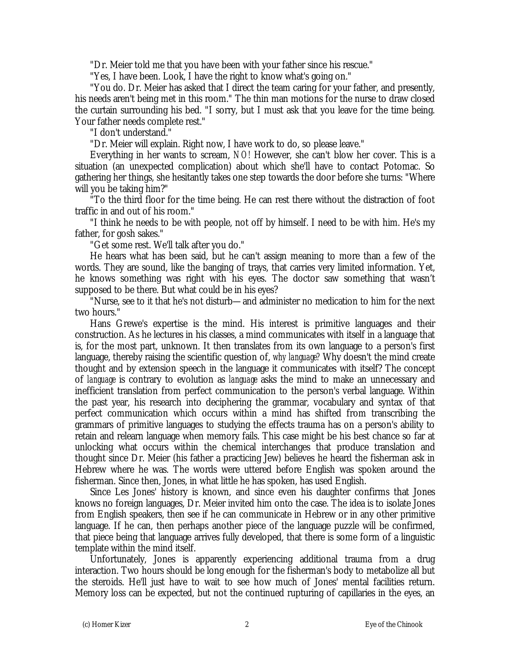"Dr. Meier told me that you have been with your father since his rescue."

"Yes, I have been. Look, I have the right to know what's going on."

"You do. Dr. Meier has asked that I direct the team caring for your father, and presently, his needs aren't being met in this room." The thin man motions for the nurse to draw closed the curtain surrounding his bed. "I sorry, but I must ask that you leave for the time being. Your father needs complete rest."

"I don't understand."

"Dr. Meier will explain. Right now, I have work to do, so please leave."

Everything in her wants to scream, *NO!* However, she can't blow her cover. This is a situation (an unexpected complication) about which she'll have to contact Potomac. So gathering her things, she hesitantly takes one step towards the door before she turns: "Where will you be taking him?"

"To the third floor for the time being. He can rest there without the distraction of foot traffic in and out of his room."

"I think he needs to be with people, not off by himself. I need to be with him. He's my father, for gosh sakes."

"Get some rest. We'll talk after you do."

He hears what has been said, but he can't assign meaning to more than a few of the words. They are sound, like the banging of trays, that carries very limited information. Yet, he knows something was right with his eyes. The doctor saw something that wasn't supposed to be there. But what could be in his eyes?

"Nurse, see to it that he's not disturb— and administer no medication to him for the next two hours."

Hans Grewe's expertise is the mind. His interest is primitive languages and their construction. As he lectures in his classes, a mind communicates with itself in a language that is, for the most part, unknown. It then translates from its own language to a person's first language, thereby raising the scientific question of, *why language?* Why doesn't the mind create thought and by extension speech in the language it communicates with itself? The concept of *language* is contrary to evolution as *language* asks the mind to make an unnecessary and inefficient translation from perfect communication to the person's verbal language. Within the past year, his research into deciphering the grammar, vocabulary and syntax of that perfect communication which occurs within a mind has shifted from transcribing the grammars of primitive languages to studying the effects trauma has on a person's ability to retain and relearn language when memory fails. This case might be his best chance so far at unlocking what occurs within the chemical interchanges that produce translation and thought since Dr. Meier (his father a practicing Jew) believes he heard the fisherman ask in Hebrew where he was. The words were uttered before English was spoken around the fisherman. Since then, Jones, in what little he has spoken, has used English.

Since Les Jones' history is known, and since even his daughter confirms that Jones knows no foreign languages, Dr. Meier invited him onto the case. The idea is to isolate Jones from English speakers, then see if he can communicate in Hebrew or in any other primitive language. If he can, then perhaps another piece of the language puzzle will be confirmed, that piece being that language arrives fully developed, that there is some form of a linguistic template within the mind itself.

Unfortunately, Jones is apparently experiencing additional trauma from a drug interaction. Two hours should be long enough for the fisherman's body to metabolize all but the steroids. He'll just have to wait to see how much of Jones' mental facilities return. Memory loss can be expected, but not the continued rupturing of capillaries in the eyes, an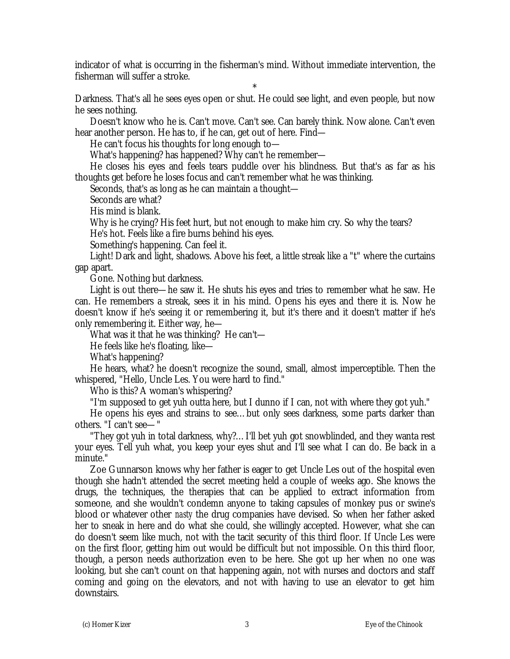indicator of what is occurring in the fisherman's mind. Without immediate intervention, the fisherman will suffer a stroke.

\* Darkness. That's all he sees eyes open or shut. He could see light, and even people, but now he sees nothing.

Doesn't know who he is. Can't move. Can't see. Can barely think. Now alone. Can't even hear another person. He has to, if he can, get out of here. Find—

He can't focus his thoughts for long enough to—

What's happening? has happened? Why can't he remember—

He closes his eyes and feels tears puddle over his blindness. But that's as far as his thoughts get before he loses focus and can't remember what he was thinking.

Seconds, that's as long as he can maintain a thought—

Seconds are what?

His mind is blank.

Why is he crying? His feet hurt, but not enough to make him cry. So why the tears?

He's hot. Feels like a fire burns behind his eyes.

Something's happening. Can feel it.

Light! Dark and light, shadows. Above his feet, a little streak like a "t" where the curtains gap apart.

Gone. Nothing but darkness.

Light is out there— he saw it. He shuts his eyes and tries to remember what he saw. He can. He remembers a streak, sees it in his mind. Opens his eyes and there it is. Now he doesn't know if he's seeing it or remembering it, but it's there and it doesn't matter if he's only remembering it. Either way, he—

What was it that he was thinking? He can't—

He feels like he's floating, like—

What's happening?

He hears, what? he doesn't recognize the sound, small, almost imperceptible. Then the whispered, "Hello, Uncle Les. You were hard to find."

Who is this? A woman's whispering?

"I'm supposed to get yuh outta here, but I dunno if I can, not with where they got yuh."

He opens his eyes and strains to see… but only sees darkness, some parts darker than others. "I can't see— "

"They got yuh in total darkness, why?… I'll bet yuh got snowblinded, and they wanta rest your eyes. Tell yuh what, you keep your eyes shut and I'll see what I can do. Be back in a minute."

Zoe Gunnarson knows why her father is eager to get Uncle Les out of the hospital even though she hadn't attended the secret meeting held a couple of weeks ago. She knows the drugs, the techniques, the therapies that can be applied to extract information from someone, and she wouldn't condemn anyone to taking capsules of monkey pus or swine's blood or whatever other *nasty* the drug companies have devised. So when her father asked her to sneak in here and do what she could, she willingly accepted. However, what she can do doesn't seem like much, not with the tacit security of this third floor. If Uncle Les were on the first floor, getting him out would be difficult but not impossible. On this third floor, though, a person needs authorization even to be here. She got up her when no one was looking, but she can't count on that happening again, not with nurses and doctors and staff coming and going on the elevators, and not with having to use an elevator to get him downstairs.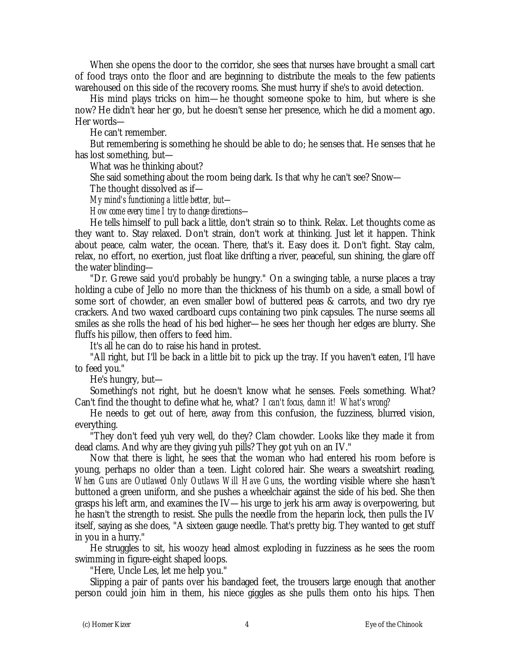When she opens the door to the corridor, she sees that nurses have brought a small cart of food trays onto the floor and are beginning to distribute the meals to the few patients warehoused on this side of the recovery rooms. She must hurry if she's to avoid detection.

His mind plays tricks on him— he thought someone spoke to him, but where is she now? He didn't hear her go, but he doesn't sense her presence, which he did a moment ago. Her words—

He can't remember.

But remembering is something he should be able to do; he senses that. He senses that he has lost something, but—

What was he thinking about?

She said something about the room being dark. Is that why he can't see? Snow—

The thought dissolved as if—

*My mind's functioning a little better, but—*

*How come every time I try to change directions—*

He tells himself to pull back a little, don't strain so to think. Relax. Let thoughts come as they want to. Stay relaxed. Don't strain, don't work at thinking. Just let it happen. Think about peace, calm water, the ocean. There, that's it. Easy does it. Don't fight. Stay calm, relax, no effort, no exertion, just float like drifting a river, peaceful, sun shining, the glare off the water blinding—

"Dr. Grewe said you'd probably be hungry." On a swinging table, a nurse places a tray holding a cube of Jello no more than the thickness of his thumb on a side, a small bowl of some sort of chowder, an even smaller bowl of buttered peas & carrots, and two dry rye crackers. And two waxed cardboard cups containing two pink capsules. The nurse seems all smiles as she rolls the head of his bed higher— he sees her though her edges are blurry. She fluffs his pillow, then offers to feed him.

It's all he can do to raise his hand in protest.

"All right, but I'll be back in a little bit to pick up the tray. If you haven't eaten, I'll have to feed you."

He's hungry, but—

Something's not right, but he doesn't know what he senses. Feels something. What? Can't find the thought to define what he, what? *I can't focus, damn it! What's wrong?*

He needs to get out of here, away from this confusion, the fuzziness, blurred vision, everything.

"They don't feed yuh very well, do they? Clam chowder. Looks like they made it from dead clams. And why are they giving yuh pills? They got yuh on an IV."

Now that there is light, he sees that the woman who had entered his room before is young, perhaps no older than a teen. Light colored hair. She wears a sweatshirt reading, *When Guns are Outlawed Only Outlaws Will Have Guns*, the wording visible where she hasn't buttoned a green uniform, and she pushes a wheelchair against the side of his bed. She then grasps his left arm, and examines the IV— his urge to jerk his arm away is overpowering, but he hasn't the strength to resist. She pulls the needle from the heparin lock, then pulls the IV itself, saying as she does, "A sixteen gauge needle. That's pretty big. They wanted to get stuff in you in a hurry."

He struggles to sit, his woozy head almost exploding in fuzziness as he sees the room swimming in figure-eight shaped loops.

"Here, Uncle Les, let me help you."

Slipping a pair of pants over his bandaged feet, the trousers large enough that another person could join him in them, his niece giggles as she pulls them onto his hips. Then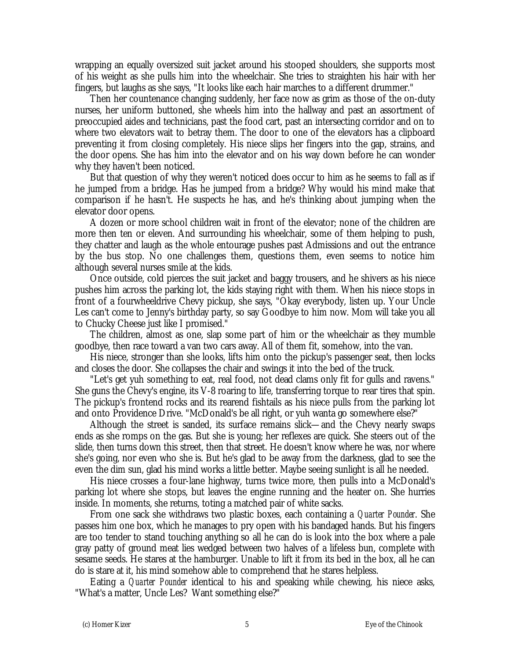wrapping an equally oversized suit jacket around his stooped shoulders, she supports most of his weight as she pulls him into the wheelchair. She tries to straighten his hair with her fingers, but laughs as she says, "It looks like each hair marches to a different drummer."

Then her countenance changing suddenly, her face now as grim as those of the on-duty nurses, her uniform buttoned, she wheels him into the hallway and past an assortment of preoccupied aides and technicians, past the food cart, past an intersecting corridor and on to where two elevators wait to betray them. The door to one of the elevators has a clipboard preventing it from closing completely. His niece slips her fingers into the gap, strains, and the door opens. She has him into the elevator and on his way down before he can wonder why they haven't been noticed.

But that question of why they weren't noticed does occur to him as he seems to fall as if he jumped from a bridge. Has he jumped from a bridge? Why would his mind make that comparison if he hasn't. He suspects he has, and he's thinking about jumping when the elevator door opens.

A dozen or more school children wait in front of the elevator; none of the children are more then ten or eleven. And surrounding his wheelchair, some of them helping to push, they chatter and laugh as the whole entourage pushes past Admissions and out the entrance by the bus stop. No one challenges them, questions them, even seems to notice him although several nurses smile at the kids.

Once outside, cold pierces the suit jacket and baggy trousers, and he shivers as his niece pushes him across the parking lot, the kids staying right with them. When his niece stops in front of a fourwheeldrive Chevy pickup, she says, "Okay everybody, listen up. Your Uncle Les can't come to Jenny's birthday party, so say Goodbye to him now. Mom will take you all to Chucky Cheese just like I promised."

The children, almost as one, slap some part of him or the wheelchair as they mumble goodbye, then race toward a van two cars away. All of them fit, somehow, into the van.

His niece, stronger than she looks, lifts him onto the pickup's passenger seat, then locks and closes the door. She collapses the chair and swings it into the bed of the truck.

"Let's get yuh something to eat, real food, not dead clams only fit for gulls and ravens." She guns the Chevy's engine, its V-8 roaring to life, transferring torque to rear tires that spin. The pickup's frontend rocks and its rearend fishtails as his niece pulls from the parking lot and onto Providence Drive. "McDonald's be all right, or yuh wanta go somewhere else?"

Although the street is sanded, its surface remains slick— and the Chevy nearly swaps ends as she romps on the gas. But she is young; her reflexes are quick. She steers out of the slide, then turns down this street, then that street. He doesn't know where he was, nor where she's going, nor even who she is. But he's glad to be away from the darkness, glad to see the even the dim sun, glad his mind works a little better. Maybe seeing sunlight is all he needed.

His niece crosses a four-lane highway, turns twice more, then pulls into a McDonald's parking lot where she stops, but leaves the engine running and the heater on. She hurries inside. In moments, she returns, toting a matched pair of white sacks.

From one sack she withdraws two plastic boxes, each containing a *Quarter Pounder*. She passes him one box, which he manages to pry open with his bandaged hands. But his fingers are too tender to stand touching anything so all he can do is look into the box where a pale gray patty of ground meat lies wedged between two halves of a lifeless bun, complete with sesame seeds. He stares at the hamburger. Unable to lift it from its bed in the box, all he can do is stare at it, his mind somehow able to comprehend that he stares helpless.

Eating a *Quarter Pounder* identical to his and speaking while chewing, his niece asks, "What's a matter, Uncle Les? Want something else?"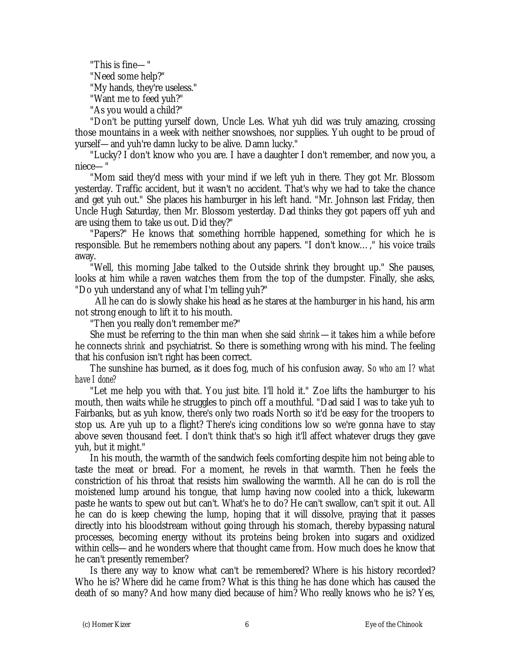"This is fine— " "Need some help?" "My hands, they're useless." "Want me to feed yuh?" "As you would a child?"

"Don't be putting yurself down, Uncle Les. What yuh did was truly amazing, crossing those mountains in a week with neither snowshoes, nor supplies. Yuh ought to be proud of yurself— and yuh're damn lucky to be alive. Damn lucky."

"Lucky? I don't know who you are. I have a daughter I don't remember, and now you, a niece— "

"Mom said they'd mess with your mind if we left yuh in there. They got Mr. Blossom yesterday. Traffic accident, but it wasn't no accident. That's why we had to take the chance and get yuh out." She places his hamburger in his left hand. "Mr. Johnson last Friday, then Uncle Hugh Saturday, then Mr. Blossom yesterday. Dad thinks they got papers off yuh and are using them to take us out. Did they?"

"Papers?" He knows that something horrible happened, something for which he is responsible. But he remembers nothing about any papers. "I don't know… ," his voice trails away.

"Well, this morning Jabe talked to the Outside shrink they brought up." She pauses, looks at him while a raven watches them from the top of the dumpster. Finally, she asks, "Do yuh understand any of what I'm telling yuh?"

 All he can do is slowly shake his head as he stares at the hamburger in his hand, his arm not strong enough to lift it to his mouth.

"Then you really don't remember me?"

She must be referring to the thin man when she said *shrink*— it takes him a while before he connects *shrink* and psychiatrist. So there is something wrong with his mind. The feeling that his confusion isn't right has been correct.

The sunshine has burned, as it does fog, much of his confusion away. *So who am I? what have I done?*

"Let me help you with that. You just bite. I'll hold it." Zoe lifts the hamburger to his mouth, then waits while he struggles to pinch off a mouthful. "Dad said I was to take yuh to Fairbanks, but as yuh know, there's only two roads North so it'd be easy for the troopers to stop us. Are yuh up to a flight? There's icing conditions low so we're gonna have to stay above seven thousand feet. I don't think that's so high it'll affect whatever drugs they gave yuh, but it might."

In his mouth, the warmth of the sandwich feels comforting despite him not being able to taste the meat or bread. For a moment, he revels in that warmth. Then he feels the constriction of his throat that resists him swallowing the warmth. All he can do is roll the moistened lump around his tongue, that lump having now cooled into a thick, lukewarm paste he wants to spew out but can't. What's he to do? He can't swallow, can't spit it out. All he can do is keep chewing the lump, hoping that it will dissolve, praying that it passes directly into his bloodstream without going through his stomach, thereby bypassing natural processes, becoming energy without its proteins being broken into sugars and oxidized within cells— and he wonders where that thought came from. How much does he know that he can't presently remember?

Is there any way to know what can't be remembered? Where is his history recorded? Who he is? Where did he came from? What is this thing he has done which has caused the death of so many? And how many died because of him? Who really knows who he is? Yes,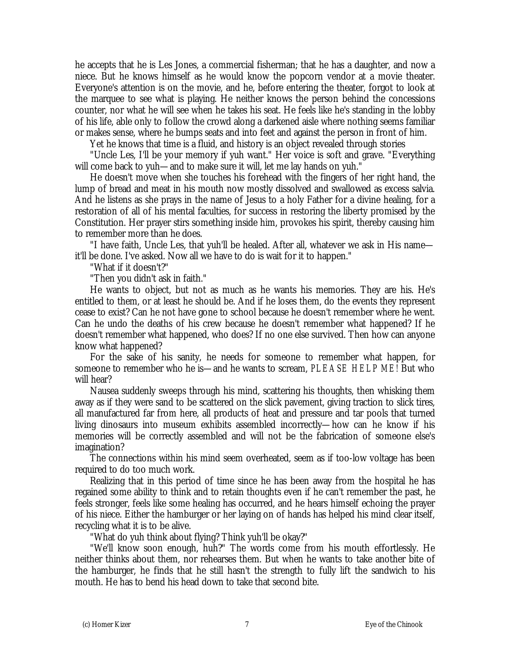he accepts that he is Les Jones, a commercial fisherman; that he has a daughter, and now a niece. But he knows himself as he would know the popcorn vendor at a movie theater. Everyone's attention is on the movie, and he, before entering the theater, forgot to look at the marquee to see what is playing. He neither knows the person behind the concessions counter, nor what he will see when he takes his seat. He feels like he's standing in the lobby of his life, able only to follow the crowd along a darkened aisle where nothing seems familiar or makes sense, where he bumps seats and into feet and against the person in front of him.

Yet he knows that time is a fluid, and history is an object revealed through stories

"Uncle Les, I'll be your memory if yuh want." Her voice is soft and grave. "Everything will come back to yuh— and to make sure it will, let me lay hands on yuh."

He doesn't move when she touches his forehead with the fingers of her right hand, the lump of bread and meat in his mouth now mostly dissolved and swallowed as excess salvia. And he listens as she prays in the name of Jesus to a holy Father for a divine healing, for a restoration of all of his mental faculties, for success in restoring the liberty promised by the Constitution. Her prayer stirs something inside him, provokes his spirit, thereby causing him to remember more than he does.

"I have faith, Uncle Les, that yuh'll be healed. After all, whatever we ask in His name it'll be done. I've asked. Now all we have to do is wait for it to happen."

"What if it doesn't?"

"Then you didn't ask in faith."

He wants to object, but not as much as he wants his memories. They are his. He's entitled to them, or at least he should be. And if he loses them, do the events they represent cease to exist? Can he not have gone to school because he doesn't remember where he went. Can he undo the deaths of his crew because he doesn't remember what happened? If he doesn't remember what happened, who does? If no one else survived. Then how can anyone know what happened?

For the sake of his sanity, he needs for someone to remember what happen, for someone to remember who he is— and he wants to scream, *PLEASE HELP ME!* But who will hear?

Nausea suddenly sweeps through his mind, scattering his thoughts, then whisking them away as if they were sand to be scattered on the slick pavement, giving traction to slick tires, all manufactured far from here, all products of heat and pressure and tar pools that turned living dinosaurs into museum exhibits assembled incorrectly— how can he know if his memories will be correctly assembled and will not be the fabrication of someone else's imagination?

The connections within his mind seem overheated, seem as if too-low voltage has been required to do too much work.

Realizing that in this period of time since he has been away from the hospital he has regained some ability to think and to retain thoughts even if he can't remember the past, he feels stronger, feels like some healing has occurred, and he hears himself echoing the prayer of his niece. Either the hamburger or her laying on of hands has helped his mind clear itself, recycling what it is to be alive.

"What do yuh think about flying? Think yuh'll be okay?"

"We'll know soon enough, huh?" The words come from his mouth effortlessly. He neither thinks about them, nor rehearses them. But when he wants to take another bite of the hamburger, he finds that he still hasn't the strength to fully lift the sandwich to his mouth. He has to bend his head down to take that second bite.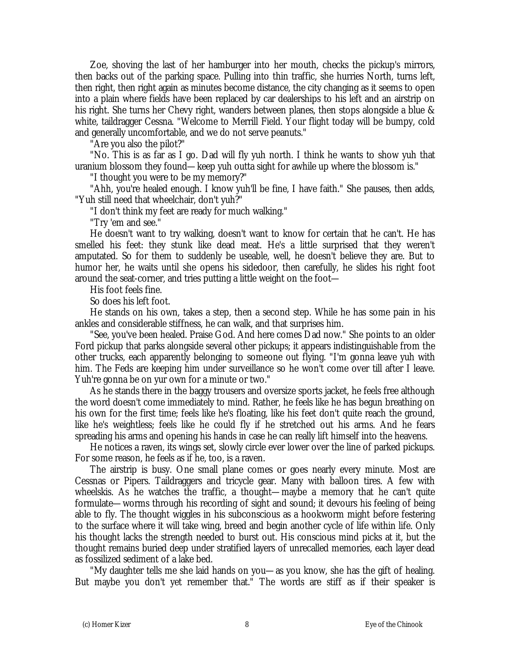Zoe, shoving the last of her hamburger into her mouth, checks the pickup's mirrors, then backs out of the parking space. Pulling into thin traffic, she hurries North, turns left, then right, then right again as minutes become distance, the city changing as it seems to open into a plain where fields have been replaced by car dealerships to his left and an airstrip on his right. She turns her Chevy right, wanders between planes, then stops alongside a blue & white, taildragger Cessna. "Welcome to Merrill Field. Your flight today will be bumpy, cold and generally uncomfortable, and we do not serve peanuts."

"Are you also the pilot?"

"No. This is as far as I go. Dad will fly yuh north. I think he wants to show yuh that uranium blossom they found— keep yuh outta sight for awhile up where the blossom is."

"I thought you were to be my memory?"

"Ahh, you're healed enough. I know yuh'll be fine, I have faith." She pauses, then adds, "Yuh still need that wheelchair, don't yuh?"

"I don't think my feet are ready for much walking."

"Try 'em and see."

He doesn't want to try walking, doesn't want to know for certain that he can't. He has smelled his feet: they stunk like dead meat. He's a little surprised that they weren't amputated. So for them to suddenly be useable, well, he doesn't believe they are. But to humor her, he waits until she opens his sidedoor, then carefully, he slides his right foot around the seat-corner, and tries putting a little weight on the foot—

His foot feels fine.

So does his left foot.

He stands on his own, takes a step, then a second step. While he has some pain in his ankles and considerable stiffness, he can walk, and that surprises him.

"See, you've been healed. Praise God. And here comes Dad now." She points to an older Ford pickup that parks alongside several other pickups; it appears indistinguishable from the other trucks, each apparently belonging to someone out flying. "I'm gonna leave yuh with him. The Feds are keeping him under surveillance so he won't come over till after I leave. Yuh're gonna be on yur own for a minute or two."

As he stands there in the baggy trousers and oversize sports jacket, he feels free although the word doesn't come immediately to mind. Rather, he feels like he has begun breathing on his own for the first time; feels like he's floating, like his feet don't quite reach the ground, like he's weightless; feels like he could fly if he stretched out his arms. And he fears spreading his arms and opening his hands in case he can really lift himself into the heavens.

He notices a raven, its wings set, slowly circle ever lower over the line of parked pickups. For some reason, he feels as if he, too, is a raven.

The airstrip is busy. One small plane comes or goes nearly every minute. Most are Cessnas or Pipers. Taildraggers and tricycle gear. Many with balloon tires. A few with wheelskis. As he watches the traffic, a thought— maybe a memory that he can't quite formulate— worms through his recording of sight and sound; it devours his feeling of being able to fly. The thought wiggles in his subconscious as a hookworm might before festering to the surface where it will take wing, breed and begin another cycle of life within life. Only his thought lacks the strength needed to burst out. His conscious mind picks at it, but the thought remains buried deep under stratified layers of unrecalled memories, each layer dead as fossilized sediment of a lake bed.

"My daughter tells me she laid hands on you— as you know, she has the gift of healing. But maybe you don't yet remember that." The words are stiff as if their speaker is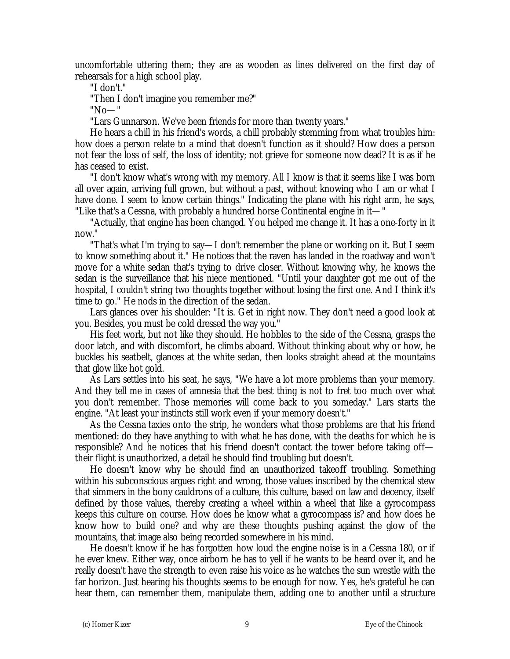uncomfortable uttering them; they are as wooden as lines delivered on the first day of rehearsals for a high school play.

"I don't."

"Then I don't imagine you remember me?"

"No— "

"Lars Gunnarson. We've been friends for more than twenty years."

He hears a chill in his friend's words, a chill probably stemming from what troubles him: how does a person relate to a mind that doesn't function as it should? How does a person not fear the loss of self, the loss of identity; not grieve for someone now dead? It is as if he has ceased to exist.

"I don't know what's wrong with my memory. All I know is that it seems like I was born all over again, arriving full grown, but without a past, without knowing who I am or what I have done. I seem to know certain things." Indicating the plane with his right arm, he says, "Like that's a Cessna, with probably a hundred horse Continental engine in it— "

"Actually, that engine has been changed. You helped me change it. It has a one-forty in it now."

"That's what I'm trying to say— I don't remember the plane or working on it. But I seem to know something about it." He notices that the raven has landed in the roadway and won't move for a white sedan that's trying to drive closer. Without knowing why, he knows the sedan is the surveillance that his niece mentioned. "Until your daughter got me out of the hospital, I couldn't string two thoughts together without losing the first one. And I think it's time to go." He nods in the direction of the sedan.

Lars glances over his shoulder: "It is. Get in right now. They don't need a good look at you. Besides, you must be cold dressed the way you."

His feet work, but not like they should. He hobbles to the side of the Cessna, grasps the door latch, and with discomfort, he climbs aboard. Without thinking about why or how, he buckles his seatbelt, glances at the white sedan, then looks straight ahead at the mountains that glow like hot gold.

As Lars settles into his seat, he says, "We have a lot more problems than your memory. And they tell me in cases of amnesia that the best thing is not to fret too much over what you don't remember. Those memories will come back to you someday." Lars starts the engine. "At least your instincts still work even if your memory doesn't."

As the Cessna taxies onto the strip, he wonders what those problems are that his friend mentioned: do they have anything to with what he has done, with the deaths for which he is responsible? And he notices that his friend doesn't contact the tower before taking off their flight is unauthorized, a detail he should find troubling but doesn't.

He doesn't know why he should find an unauthorized takeoff troubling. Something within his subconscious argues right and wrong, those values inscribed by the chemical stew that simmers in the bony cauldrons of a culture, this culture, based on law and decency, itself defined by those values, thereby creating a wheel within a wheel that like a gyrocompass keeps this culture on course. How does he know what a gyrocompass is? and how does he know how to build one? and why are these thoughts pushing against the glow of the mountains, that image also being recorded somewhere in his mind.

He doesn't know if he has forgotten how loud the engine noise is in a Cessna 180, or if he ever knew. Either way, once airborn he has to yell if he wants to be heard over it, and he really doesn't have the strength to even raise his voice as he watches the sun wrestle with the far horizon. Just hearing his thoughts seems to be enough for now. Yes, he's grateful he can hear them, can remember them, manipulate them, adding one to another until a structure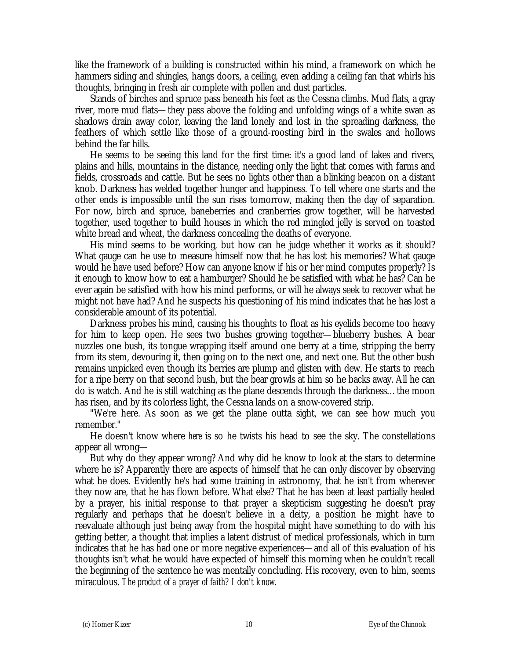like the framework of a building is constructed within his mind, a framework on which he hammers siding and shingles, hangs doors, a ceiling, even adding a ceiling fan that whirls his thoughts, bringing in fresh air complete with pollen and dust particles.

Stands of birches and spruce pass beneath his feet as the Cessna climbs. Mud flats, a gray river, more mud flats— they pass above the folding and unfolding wings of a white swan as shadows drain away color, leaving the land lonely and lost in the spreading darkness, the feathers of which settle like those of a ground-roosting bird in the swales and hollows behind the far hills.

He seems to be seeing this land for the first time: it's a good land of lakes and rivers, plains and hills, mountains in the distance, needing only the light that comes with farms and fields, crossroads and cattle. But he sees no lights other than a blinking beacon on a distant knob. Darkness has welded together hunger and happiness. To tell where one starts and the other ends is impossible until the sun rises tomorrow, making then the day of separation. For now, birch and spruce, baneberries and cranberries grow together, will be harvested together, used together to build houses in which the red mingled jelly is served on toasted white bread and wheat, the darkness concealing the deaths of everyone.

His mind seems to be working, but how can he judge whether it works as it should? What gauge can he use to measure himself now that he has lost his memories? What gauge would he have used before? How can anyone know if his or her mind computes properly? Is it enough to know how to eat a hamburger? Should he be satisfied with what he has? Can he ever again be satisfied with how his mind performs, or will he always seek to recover what he might not have had? And he suspects his questioning of his mind indicates that he has lost a considerable amount of its potential.

Darkness probes his mind, causing his thoughts to float as his eyelids become too heavy for him to keep open. He sees two bushes growing together— blueberry bushes. A bear nuzzles one bush, its tongue wrapping itself around one berry at a time, stripping the berry from its stem, devouring it, then going on to the next one, and next one. But the other bush remains unpicked even though its berries are plump and glisten with dew. He starts to reach for a ripe berry on that second bush, but the bear growls at him so he backs away. All he can do is watch. And he is still watching as the plane descends through the darkness… the moon has risen, and by its colorless light, the Cessna lands on a snow-covered strip.

"We're here. As soon as we get the plane outta sight, we can see how much you remember."

He doesn't know where *here* is so he twists his head to see the sky. The constellations appear all wrong—

But why do they appear wrong? And why did he know to look at the stars to determine where he is? Apparently there are aspects of himself that he can only discover by observing what he does. Evidently he's had some training in astronomy, that he isn't from wherever they now are, that he has flown before. What else? That he has been at least partially healed by a prayer, his initial response to that prayer a skepticism suggesting he doesn't pray regularly and perhaps that he doesn't believe in a deity, a position he might have to reevaluate although just being away from the hospital might have something to do with his getting better, a thought that implies a latent distrust of medical professionals, which in turn indicates that he has had one or more negative experiences— and all of this evaluation of his thoughts isn't what he would have expected of himself this morning when he couldn't recall the beginning of the sentence he was mentally concluding. His recovery, even to him, seems miraculous. *The product of a prayer of faith? I don't know.*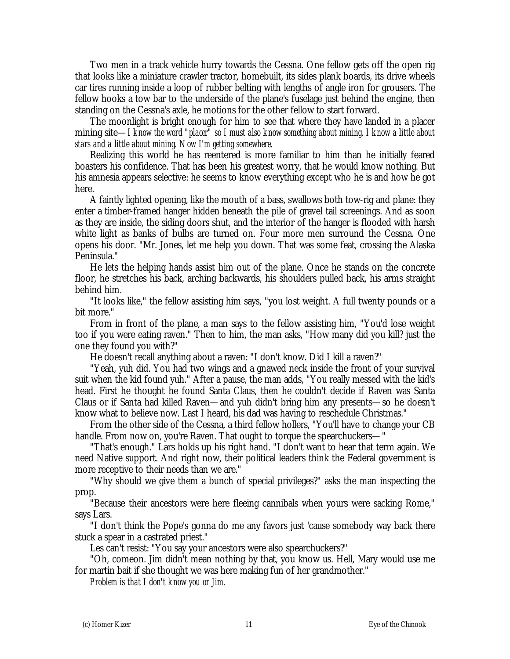Two men in a track vehicle hurry towards the Cessna. One fellow gets off the open rig that looks like a miniature crawler tractor, homebuilt, its sides plank boards, its drive wheels car tires running inside a loop of rubber belting with lengths of angle iron for grousers. The fellow hooks a tow bar to the underside of the plane's fuselage just behind the engine, then standing on the Cessna's axle, he motions for the other fellow to start forward.

The moonlight is bright enough for him to see that where they have landed in a placer mining site— *I know the word "placer" so I must also know something about mining. I know a little about stars and a little about mining. Now I'm getting somewhere.*

Realizing this world he has reentered is more familiar to him than he initially feared boasters his confidence. That has been his greatest worry, that he would know nothing. But his amnesia appears selective: he seems to know everything except who he is and how he got here.

A faintly lighted opening, like the mouth of a bass, swallows both tow-rig and plane: they enter a timber-framed hanger hidden beneath the pile of gravel tail screenings. And as soon as they are inside, the siding doors shut, and the interior of the hanger is flooded with harsh white light as banks of bulbs are turned on. Four more men surround the Cessna. One opens his door. "Mr. Jones, let me help you down. That was some feat, crossing the Alaska Peninsula."

He lets the helping hands assist him out of the plane. Once he stands on the concrete floor, he stretches his back, arching backwards, his shoulders pulled back, his arms straight behind him.

"It looks like," the fellow assisting him says, "you lost weight. A full twenty pounds or a bit more."

From in front of the plane, a man says to the fellow assisting him, "You'd lose weight too if you were eating raven." Then to him, the man asks, "How many did you kill? just the one they found you with?"

He doesn't recall anything about a raven: "I don't know. Did I kill a raven?"

"Yeah, yuh did. You had two wings and a gnawed neck inside the front of your survival suit when the kid found yuh." After a pause, the man adds, "You really messed with the kid's head. First he thought he found Santa Claus, then he couldn't decide if Raven was Santa Claus or if Santa had killed Raven— and yuh didn't bring him any presents— so he doesn't know what to believe now. Last I heard, his dad was having to reschedule Christmas."

From the other side of the Cessna, a third fellow hollers, "You'll have to change your CB handle. From now on, you're Raven. That ought to torque the spearchuckers— "

"That's enough." Lars holds up his right hand. "I don't want to hear that term again. We need Native support. And right now, their political leaders think the Federal government is more receptive to their needs than we are."

"Why should we give them a bunch of special privileges?" asks the man inspecting the prop.

"Because their ancestors were here fleeing cannibals when yours were sacking Rome," says Lars.

"I don't think the Pope's gonna do me any favors just 'cause somebody way back there stuck a spear in a castrated priest."

Les can't resist: "You say your ancestors were also spearchuckers?"

"Oh, comeon. Jim didn't mean nothing by that, you know us. Hell, Mary would use me for martin bait if she thought we was here making fun of her grandmother."

*Problem is that I don't know you or Jim.*